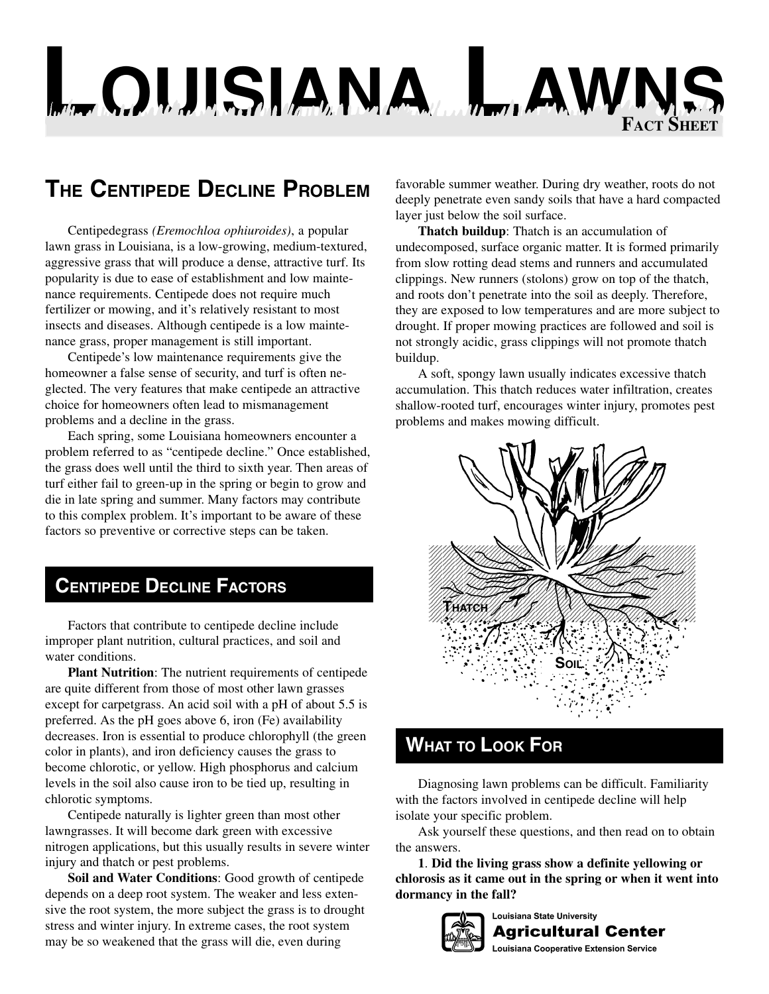# **LOUISIANA LAWNS FACT SHEET**

## **THE CENTIPEDE DECLINE PROBLEM**

Centipedegrass *(Eremochloa ophiuroides)*, a popular lawn grass in Louisiana, is a low-growing, medium-textured, aggressive grass that will produce a dense, attractive turf. Its popularity is due to ease of establishment and low maintenance requirements. Centipede does not require much fertilizer or mowing, and it's relatively resistant to most insects and diseases. Although centipede is a low maintenance grass, proper management is still important.

Centipede's low maintenance requirements give the homeowner a false sense of security, and turf is often neglected. The very features that make centipede an attractive choice for homeowners often lead to mismanagement problems and a decline in the grass.

Each spring, some Louisiana homeowners encounter a problem referred to as "centipede decline." Once established, the grass does well until the third to sixth year. Then areas of turf either fail to green-up in the spring or begin to grow and die in late spring and summer. Many factors may contribute to this complex problem. It's important to be aware of these factors so preventive or corrective steps can be taken.

### **CENTIPEDE DECLINE FACTORS**

Factors that contribute to centipede decline include improper plant nutrition, cultural practices, and soil and water conditions.

**Plant Nutrition**: The nutrient requirements of centipede are quite different from those of most other lawn grasses except for carpetgrass. An acid soil with a pH of about 5.5 is preferred. As the pH goes above 6, iron (Fe) availability decreases. Iron is essential to produce chlorophyll (the green color in plants), and iron deficiency causes the grass to become chlorotic, or yellow. High phosphorus and calcium levels in the soil also cause iron to be tied up, resulting in chlorotic symptoms.

Centipede naturally is lighter green than most other lawngrasses. It will become dark green with excessive nitrogen applications, but this usually results in severe winter injury and thatch or pest problems.

**Soil and Water Conditions**: Good growth of centipede depends on a deep root system. The weaker and less extensive the root system, the more subject the grass is to drought stress and winter injury. In extreme cases, the root system may be so weakened that the grass will die, even during

favorable summer weather. During dry weather, roots do not deeply penetrate even sandy soils that have a hard compacted layer just below the soil surface.

**Thatch buildup**: Thatch is an accumulation of undecomposed, surface organic matter. It is formed primarily from slow rotting dead stems and runners and accumulated clippings. New runners (stolons) grow on top of the thatch, and roots don't penetrate into the soil as deeply. Therefore, they are exposed to low temperatures and are more subject to drought. If proper mowing practices are followed and soil is not strongly acidic, grass clippings will not promote thatch buildup.

A soft, spongy lawn usually indicates excessive thatch accumulation. This thatch reduces water infiltration, creates shallow-rooted turf, encourages winter injury, promotes pest problems and makes mowing difficult.



#### **WHAT TO LOOK FOR**

Diagnosing lawn problems can be difficult. Familiarity with the factors involved in centipede decline will help isolate your specific problem.

Ask yourself these questions, and then read on to obtain the answers.

**1**. **Did the living grass show a definite yellowing or chlorosis as it came out in the spring or when it went into dormancy in the fall?**



**Louisiana State University Agricultural Center** 

**Louisiana Cooperative Extension Service**